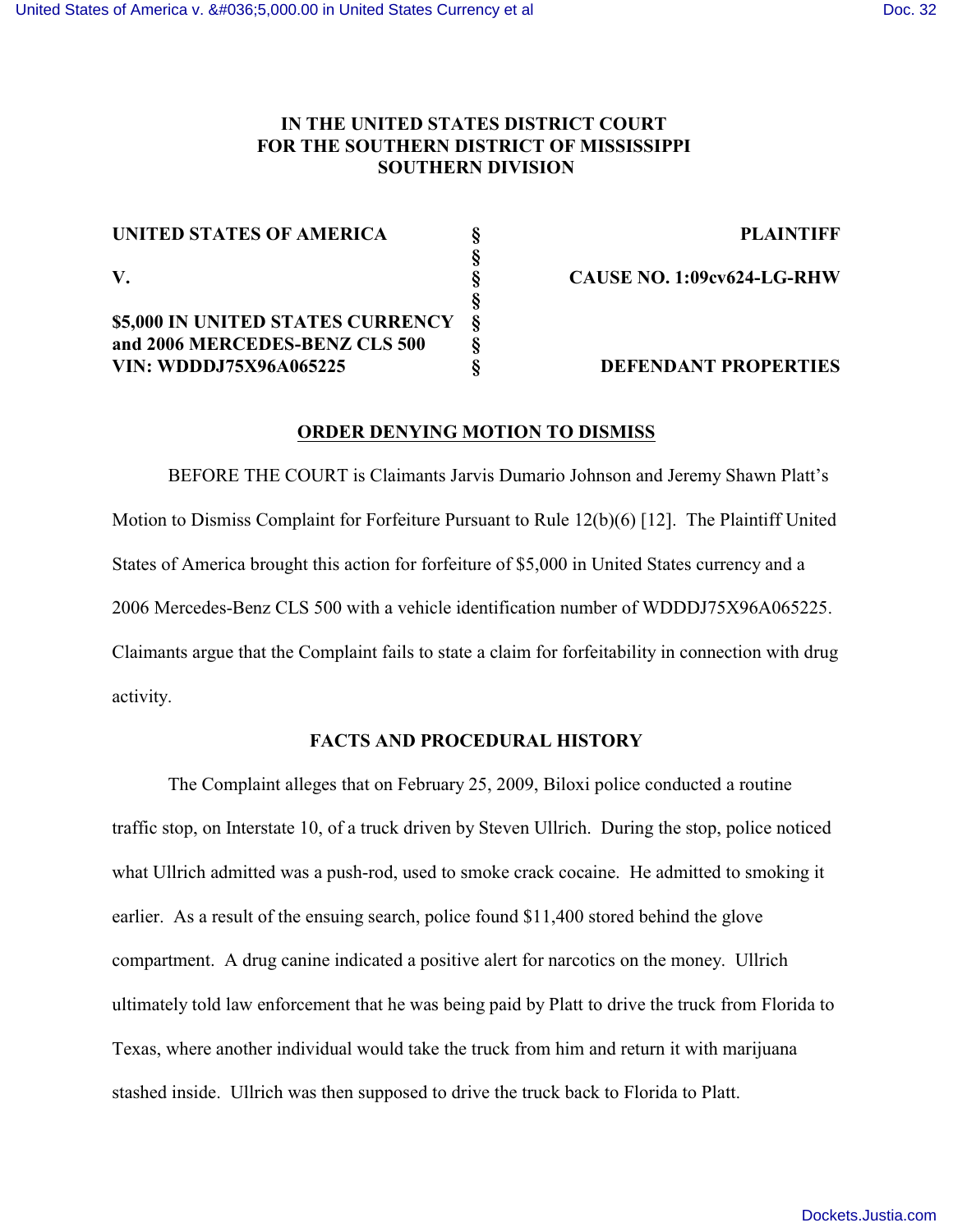# **IN THE UNITED STATES DISTRICT COURT FOR THE SOUTHERN DISTRICT OF MISSISSIPPI SOUTHERN DIVISION**

| UNITED STATES OF AMERICA          |   |
|-----------------------------------|---|
|                                   |   |
| V.                                |   |
|                                   |   |
| \$5,000 IN UNITED STATES CURRENCY | 8 |
| and 2006 MERCEDES-BENZ CLS 500    | 8 |
| <b>VIN: WDDDJ75X96A065225</b>     |   |

**UNITED STATES OF AMERICA § PLAINTIFF**

**V. § CAUSE NO. 1:09cv624-LG-RHW**

## **VIN: WDDDJ75X96A065225 § DEFENDANT PROPERTIES**

### **ORDER DENYING MOTION TO DISMISS**

BEFORE THE COURT is Claimants Jarvis Dumario Johnson and Jeremy Shawn Platt's Motion to Dismiss Complaint for Forfeiture Pursuant to Rule 12(b)(6) [12]. The Plaintiff United States of America brought this action for forfeiture of \$5,000 in United States currency and a 2006 Mercedes-Benz CLS 500 with a vehicle identification number of WDDDJ75X96A065225. Claimants argue that the Complaint fails to state a claim for forfeitability in connection with drug activity.

# **FACTS AND PROCEDURAL HISTORY**

The Complaint alleges that on February 25, 2009, Biloxi police conducted a routine traffic stop, on Interstate 10, of a truck driven by Steven Ullrich. During the stop, police noticed what Ullrich admitted was a push-rod, used to smoke crack cocaine. He admitted to smoking it earlier. As a result of the ensuing search, police found \$11,400 stored behind the glove compartment. A drug canine indicated a positive alert for narcotics on the money. Ullrich ultimately told law enforcement that he was being paid by Platt to drive the truck from Florida to Texas, where another individual would take the truck from him and return it with marijuana stashed inside. Ullrich was then supposed to drive the truck back to Florida to Platt.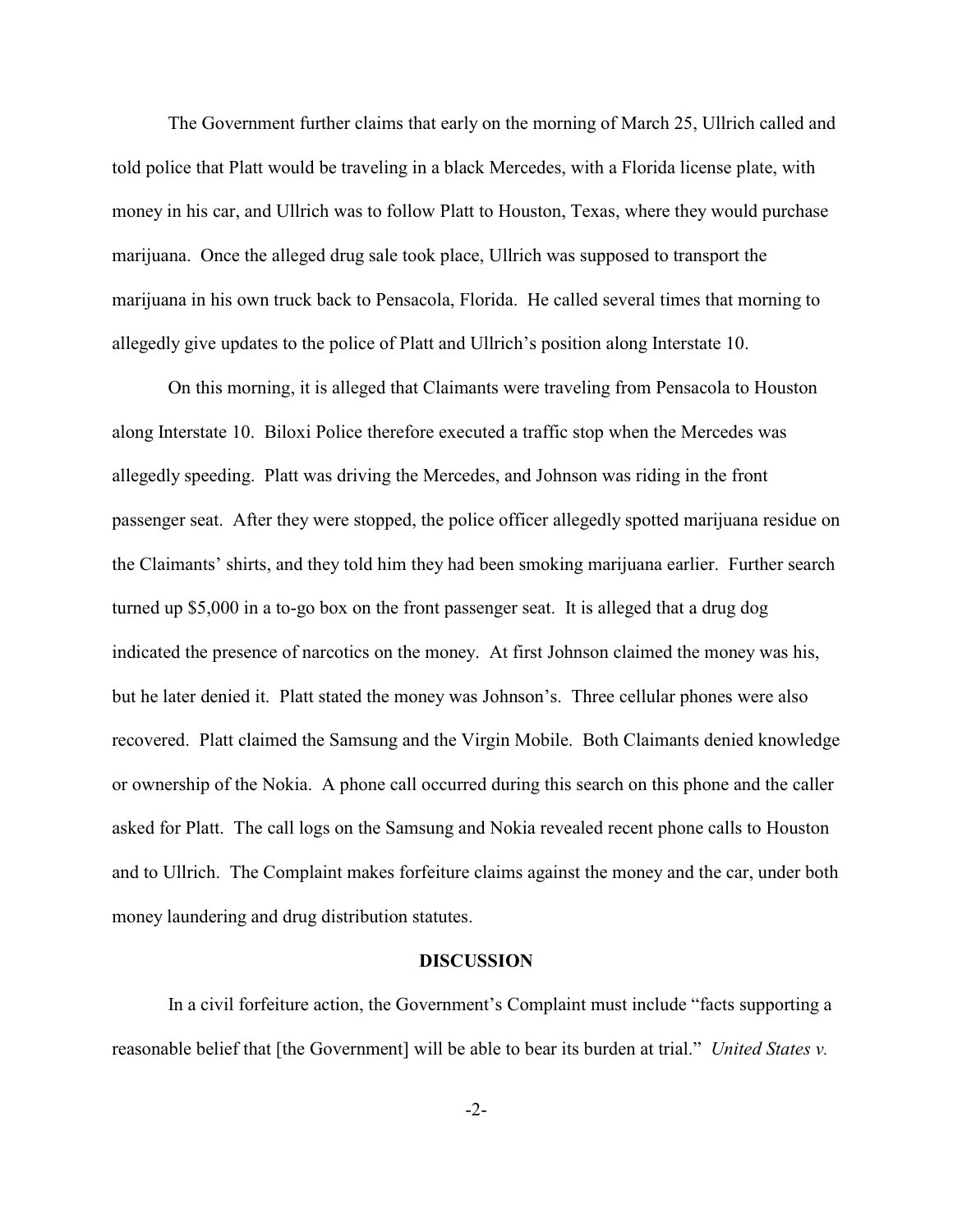The Government further claims that early on the morning of March 25, Ullrich called and told police that Platt would be traveling in a black Mercedes, with a Florida license plate, with money in his car, and Ullrich was to follow Platt to Houston, Texas, where they would purchase marijuana. Once the alleged drug sale took place, Ullrich was supposed to transport the marijuana in his own truck back to Pensacola, Florida. He called several times that morning to allegedly give updates to the police of Platt and Ullrich's position along Interstate 10.

On this morning, it is alleged that Claimants were traveling from Pensacola to Houston along Interstate 10. Biloxi Police therefore executed a traffic stop when the Mercedes was allegedly speeding. Platt was driving the Mercedes, and Johnson was riding in the front passenger seat. After they were stopped, the police officer allegedly spotted marijuana residue on the Claimants' shirts, and they told him they had been smoking marijuana earlier. Further search turned up \$5,000 in a to-go box on the front passenger seat. It is alleged that a drug dog indicated the presence of narcotics on the money. At first Johnson claimed the money was his, but he later denied it. Platt stated the money was Johnson's. Three cellular phones were also recovered. Platt claimed the Samsung and the Virgin Mobile. Both Claimants denied knowledge or ownership of the Nokia. A phone call occurred during this search on this phone and the caller asked for Platt. The call logs on the Samsung and Nokia revealed recent phone calls to Houston and to Ullrich. The Complaint makes forfeiture claims against the money and the car, under both money laundering and drug distribution statutes.

#### **DISCUSSION**

In a civil forfeiture action, the Government's Complaint must include "facts supporting a reasonable belief that [the Government] will be able to bear its burden at trial." *United States v.*

-2-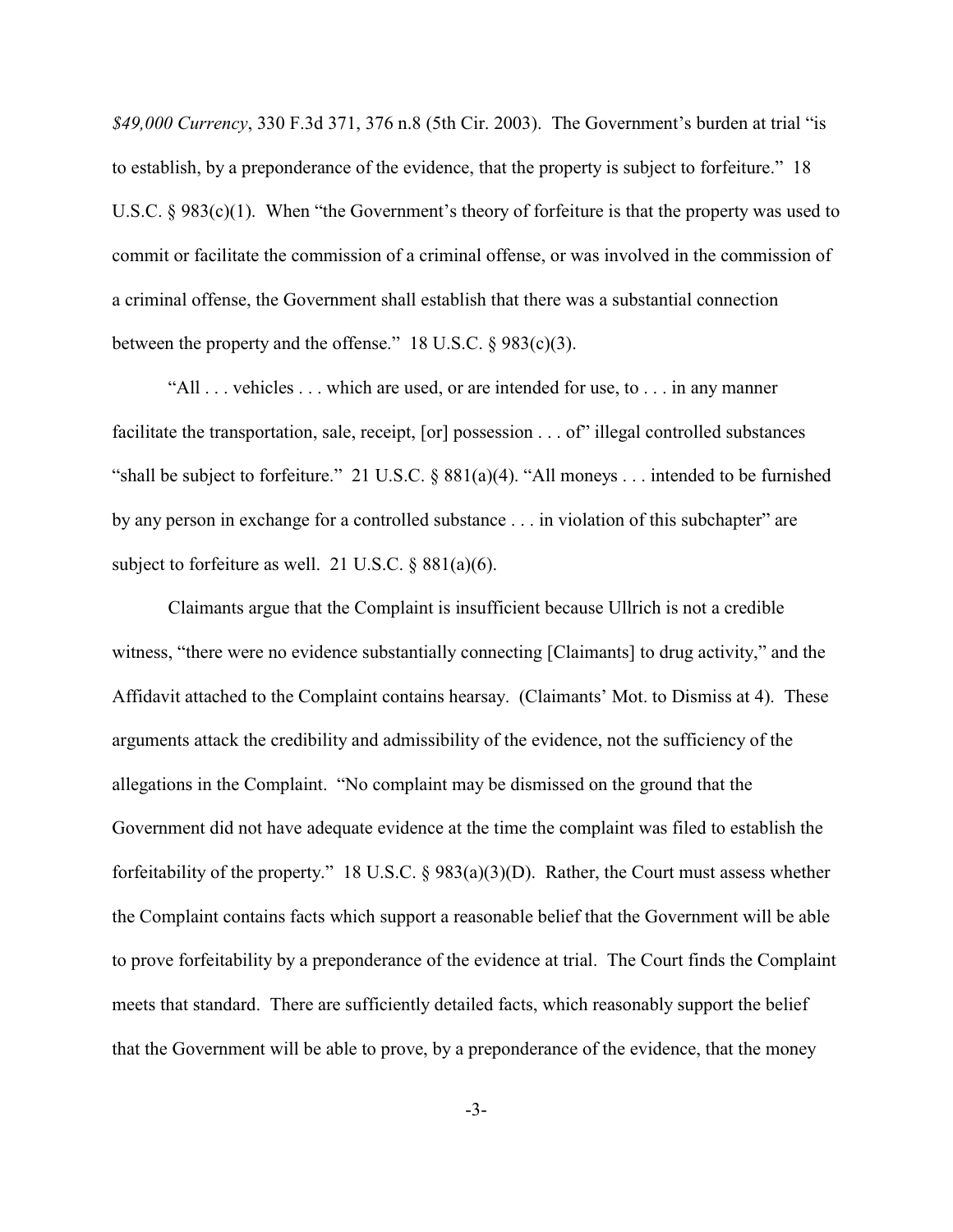*\$49,000 Currency*, 330 F.3d 371, 376 n.8 (5th Cir. 2003). The Government's burden at trial "is to establish, by a preponderance of the evidence, that the property is subject to forfeiture." 18 U.S.C.  $\S 983(c)(1)$ . When "the Government's theory of forfeiture is that the property was used to commit or facilitate the commission of a criminal offense, or was involved in the commission of a criminal offense, the Government shall establish that there was a substantial connection between the property and the offense." 18 U.S.C.  $\S 983(c)(3)$ .

"All . . . vehicles . . . which are used, or are intended for use, to . . . in any manner facilitate the transportation, sale, receipt, [or] possession . . . of" illegal controlled substances "shall be subject to forfeiture." 21 U.S.C. § 881(a)(4). "All moneys . . . intended to be furnished by any person in exchange for a controlled substance . . . in violation of this subchapter" are subject to forfeiture as well. 21 U.S.C. § 881(a)(6).

Claimants argue that the Complaint is insufficient because Ullrich is not a credible witness, "there were no evidence substantially connecting [Claimants] to drug activity," and the Affidavit attached to the Complaint contains hearsay. (Claimants' Mot. to Dismiss at 4). These arguments attack the credibility and admissibility of the evidence, not the sufficiency of the allegations in the Complaint. "No complaint may be dismissed on the ground that the Government did not have adequate evidence at the time the complaint was filed to establish the forfeitability of the property." 18 U.S.C. § 983(a)(3)(D). Rather, the Court must assess whether the Complaint contains facts which support a reasonable belief that the Government will be able to prove forfeitability by a preponderance of the evidence at trial. The Court finds the Complaint meets that standard. There are sufficiently detailed facts, which reasonably support the belief that the Government will be able to prove, by a preponderance of the evidence, that the money